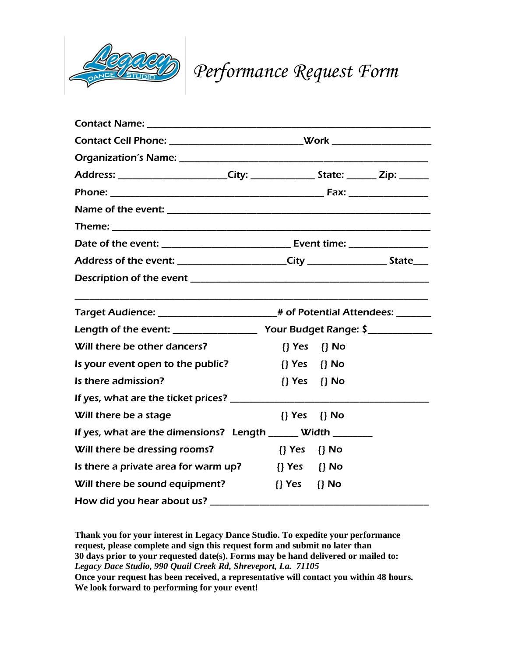

*Performance Request Form*

|                                                                                        | Contact Cell Phone: _________________________________Work ______________________ |  |  |
|----------------------------------------------------------------------------------------|----------------------------------------------------------------------------------|--|--|
|                                                                                        |                                                                                  |  |  |
| Address: _________________________City: __________________State: ________ Zip: _______ |                                                                                  |  |  |
|                                                                                        |                                                                                  |  |  |
|                                                                                        |                                                                                  |  |  |
|                                                                                        |                                                                                  |  |  |
|                                                                                        |                                                                                  |  |  |
| Address of the event: _________________________City _________________________State____ |                                                                                  |  |  |
|                                                                                        |                                                                                  |  |  |
| Target Audience: _______________________# of Potential Attendees: ________             |                                                                                  |  |  |
|                                                                                        |                                                                                  |  |  |
| Will there be other dancers?                                                           | $\{\}$ Yes $\{\}$ No                                                             |  |  |
| Is your event open to the public?                                                      | {} Yes {} No                                                                     |  |  |
| Is there admission?                                                                    | $\{\}$ Yes $\{\}$ No                                                             |  |  |
|                                                                                        |                                                                                  |  |  |
| Will there be a stage                                                                  | $\{\}$ Yes $\{\}$ No                                                             |  |  |
| If yes, what are the dimensions? Length ______ Width _______                           |                                                                                  |  |  |
| Will there be dressing rooms?                                                          | {} Yes {} No                                                                     |  |  |
| Is there a private area for warm up?                                                   | {} Yes {} No                                                                     |  |  |
| Will there be sound equipment?                                                         | $\{\}$ Yes $\{\}$ No                                                             |  |  |
| How did you hear about us? ___________                                                 |                                                                                  |  |  |

**Thank you for your interest in Legacy Dance Studio. To expedite your performance request, please complete and sign this request form and submit no later than 30 days prior to your requested date(s). Forms may be hand delivered or mailed to:** *Legacy Dace Studio, 990 Quail Creek Rd, Shreveport, La. 71105* **Once your request has been received, a representative will contact you within 48 hours. We look forward to performing for your event!**